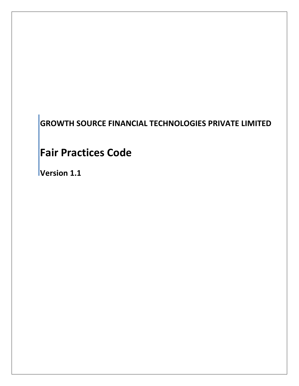# **GROWTH SOURCE FINANCIAL TECHNOLOGIES PRIVATE LIMITED**

## **Fair Practices Code**

**Version 1.1**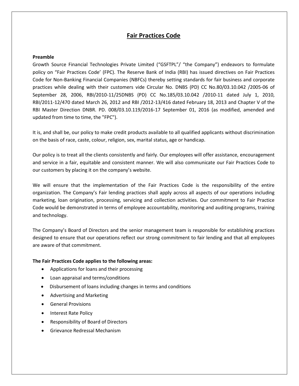## **Fair Practices Code**

#### **Preamble**

Growth Source Financial Technologies Private Limited ("GSFTPL"/ "the Company") endeavors to formulate policy on "Fair Practices Code' (FPC). The Reserve Bank of India (RBI) has issued directives on Fair Practices Code for Non-Banking Financial Companies (NBFCs) thereby setting standards for fair business and corporate practices while dealing with their customers vide Circular No. DNBS (PD) CC No.80/03.10.042 /2005-06 of September 28, 2006, RBI/2010-11/25DNBS (PD) CC No.185/03.10.042 /2010-11 dated July 1, 2010, RBI/2011-12/470 dated March 26, 2012 and RBI /2012-13/416 dated February 18, 2013 and Chapter V of the RBI Master Direction DNBR. PD. 008/03.10.119/2016-17 September 01, 2016 (as modified, amended and updated from time to time, the "FPC").

It is, and shall be, our policy to make credit products available to all qualified applicants without discrimination on the basis of race, caste, colour, religion, sex, marital status, age or handicap.

Our policy is to treat all the clients consistently and fairly. Our employees will offer assistance, encouragement and service in a fair, equitable and consistent manner. We will also communicate our Fair Practices Code to our customers by placing it on the company's website.

We will ensure that the implementation of the Fair Practices Code is the responsibility of the entire organization. The Company's Fair lending practices shall apply across all aspects of our operations including marketing, loan origination, processing, servicing and collection activities. Our commitment to Fair Practice Code would be demonstrated in terms of employee accountability, monitoring and auditing programs, training and technology.

The Company's Board of Directors and the senior management team is responsible for establishing practices designed to ensure that our operations reflect our strong commitment to fair lending and that all employees are aware of that commitment.

#### **The Fair Practices Code applies to the following areas:**

- Applications for loans and their processing
- Loan appraisal and terms/conditions
- Disbursement of loans including changes in terms and conditions
- Advertising and Marketing
- General Provisions
- Interest Rate Policy
- Responsibility of Board of Directors
- Grievance Redressal Mechanism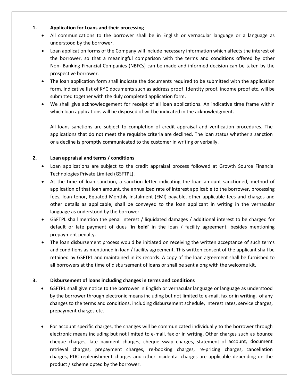## **1. Application for Loans and their processing**

- All communications to the borrower shall be in English or vernacular language or a language as understood by the borrower.
- Loan application forms of the Company will include necessary information which affects the interest of the borrower, so that a meaningful comparison with the terms and conditions offered by other Non- Banking Financial Companies (NBFCs) can be made and informed decision can be taken by the prospective borrower.
- The loan application form shall indicate the documents required to be submitted with the application form. Indicative list of KYC documents such as address proof, Identity proof, income proof etc. will be submitted together with the duly completed application form.
- We shall give acknowledgement for receipt of all loan applications. An indicative time frame within which loan applications will be disposed of will be indicated in the acknowledgment.

All loans sanctions are subject to completion of credit appraisal and verification procedures. The applications that do not meet the requisite criteria are declined. The loan status whether a sanction or a decline is promptly communicated to the customer in writing or verbally.

## **2. Loan appraisal and terms / conditions**

- Loan applications are subject to the credit appraisal process followed at Growth Source Financial Technologies Private Limited (GSFTPL).
- At the time of loan sanction, a sanction letter indicating the loan amount sanctioned, method of application of that loan amount, the annualized rate of interest applicable to the borrower, processing fees, loan tenor, Equated Monthly Instalment (EMI) payable, other applicable fees and charges and other details as applicable, shall be conveyed to the loan applicant in writing in the vernacular language as understood by the borrower.
- GSFTPL shall mention the penal interest / liquidated damages / additional interest to be charged for default or late payment of dues '**in bold**' in the loan / facility agreement, besides mentioning prepayment penalty.
- The loan disbursement process would be initiated on receiving the written acceptance of such terms and conditions as mentioned in loan / facility agreement. This written consent of the applicant shall be retained by GSFTPL and maintained in its records. A copy of the loan agreement shall be furnished to all borrowers at the time of disbursement of loans or shall be sent along with the welcome kit.

## **3. Disbursement of loans including changes in terms and conditions**

- GSFTPL shall give notice to the borrower in English or vernacular language or language as understood by the borrower through electronic means including but not limited to e-mail, fax or in writing, of any changes to the terms and conditions, including disbursement schedule, interest rates, service charges, prepayment charges etc.
- For account specific charges, the changes will be communicated individually to the borrower through electronic means including but not limited to e-mail, fax or in writing. Other charges such as bounce cheque charges, late payment charges, cheque swap charges, statement of account, document retrieval charges, prepayment charges, re-booking charges, re-pricing charges, cancellation charges, PDC replenishment charges and other incidental charges are applicable depending on the product / scheme opted by the borrower.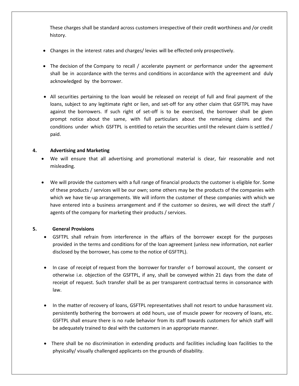These charges shall be standard across customers irrespective of their credit worthiness and /or credit history.

- Changes in the interest rates and charges/ levies will be effected only prospectively.
- The decision of the Company to recall / accelerate payment or performance under the agreement shall be in accordance with the terms and conditions in accordance with the agreement and duly acknowledged by the borrower.
- All securities pertaining to the loan would be released on receipt of full and final payment of the loans, subject to any legitimate right or lien, and set-off for any other claim that GSFTPL may have against the borrowers. If such right of set-off is to be exercised, the borrower shall be given prompt notice about the same, with full particulars about the remaining claims and the conditions under which GSFTPL is entitled to retain the securities until the relevant claim is settled / paid.

## **4. Advertising and Marketing**

- We will ensure that all advertising and promotional material is clear, fair reasonable and not misleading.
- We will provide the customers with a full range of financial products the customer is eligible for. Some of these products / services will be our own; some others may be the products of the companies with which we have tie-up arrangements. We will inform the customer of these companies with which we have entered into a business arrangement and if the customer so desires, we will direct the staff / agents of the company for marketing their products / services.

## **5. General Provisions**

- GSFTPL shall refrain from interference in the affairs of the borrower except for the purposes provided in the terms and conditions for of the loan agreement (unless new information, not earlier disclosed by the borrower, has come to the notice of GSFTPL).
- In case of receipt of request from the borrower for transfer of borrowal account, the consent or otherwise i.e. objection of the GSFTPL, if any, shall be conveyed within 21 days from the date of receipt of request. Such transfer shall be as per transparent contractual terms in consonance with law.
- In the matter of recovery of loans, GSFTPL representatives shall not resort to undue harassment viz. persistently bothering the borrowers at odd hours, use of muscle power for recovery of loans, etc. GSFTPL shall ensure there is no rude behavior from its staff towards customers for which staff will be adequately trained to deal with the customers in an appropriate manner.
- There shall be no discrimination in extending products and facilities including loan facilities to the physically/ visually challenged applicants on the grounds of disability.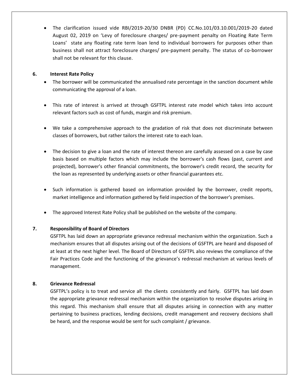• The clarification issued vide RBI/2019-20/30 DNBR (PD) CC.No.101/03.10.001/2019-20 dated August 02, 2019 on 'Levy of foreclosure charges/ pre-payment penalty on Floating Rate Term Loans' state any floating rate term loan lend to individual borrowers for purposes other than business shall not attract foreclosure charges/ pre-payment penalty. The status of co-borrower shall not be relevant for this clause.

## **6. Interest Rate Policy**

- The borrower will be communicated the annualised rate percentage in the sanction document while communicating the approval of a loan.
- This rate of interest is arrived at through GSFTPL interest rate model which takes into account relevant factors such as cost of funds, margin and risk premium.
- We take a comprehensive approach to the gradation of risk that does not discriminate between classes of borrowers, but rather tailors the interest rate to each loan.
- The decision to give a loan and the rate of interest thereon are carefully assessed on a case by case basis based on multiple factors which may include the borrower's cash flows (past, current and projected), borrower's other financial commitments, the borrower's credit record, the security for the loan as represented by underlying assets or other financial guarantees etc.
- Such information is gathered based on information provided by the borrower, credit reports, market intelligence and information gathered by field inspection of the borrower's premises.
- The approved Interest Rate Policy shall be published on the website of the company.

## **7. Responsibility of Board of Directors**

GSFTPL has laid down an appropriate grievance redressal mechanism within the organization. Such a mechanism ensures that all disputes arising out of the decisions of GSFTPL are heard and disposed of at least at the next higher level. The Board of Directors of GSFTPL also reviews the compliance of the Fair Practices Code and the functioning of the grievance's redressal mechanism at various levels of management.

### **8. Grievance Redressal**

GSFTPL's policy is to treat and service all the clients consistently and fairly. GSFTPL has laid down the appropriate grievance redressal mechanism within the organization to resolve disputes arising in this regard. This mechanism shall ensure that all disputes arising in connection with any matter pertaining to business practices, lending decisions, credit management and recovery decisions shall be heard, and the response would be sent for such complaint / grievance.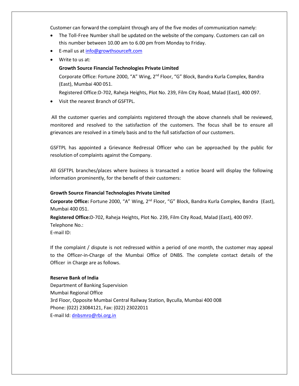Customer can forward the complaint through any of the five modes of communication namely:

- The Toll-Free Number shall be updated on the website of the company. Customers can call on this number between 10.00 am to 6.00 pm from Monday to Friday.
- E-mail us at [info@growthsourceft.com](mailto:info@growthsourceft.com)
- Write to us at:

#### **Growth Source Financial Technologies Private Limited**

Corporate Office: Fortune 2000, "A" Wing, 2<sup>nd</sup> Floor, "G" Block, Bandra Kurla Complex, Bandra (East), Mumbai 400 051.

Registered Office:D-702, Raheja Heights, Plot No. 239, Film City Road, Malad (East), 400 097.

• Visit the nearest Branch of GSFTPL.

All the customer queries and complaints registered through the above channels shall be reviewed, monitored and resolved to the satisfaction of the customers. The focus shall be to ensure all grievances are resolved in a timely basis and to the full satisfaction of our customers.

GSFTPL has appointed a Grievance Redressal Officer who can be approached by the public for resolution of complaints against the Company.

All GSFTPL branches/places where business is transacted a notice board will display the following information prominently, for the benefit of their customers:

#### **Growth Source Financial Technologies Private Limited**

**Corporate Office:** Fortune 2000, "A" Wing, 2nd Floor, "G" Block, Bandra Kurla Complex, Bandra (East), Mumbai 400 051.

**Registered Office:**D-702, Raheja Heights, Plot No. 239, Film City Road, Malad (East), 400 097. Telephone No.:

E-mail ID:

If the complaint / dispute is not redressed within a period of one month, the customer may appeal to the Officer-in-Charge of the Mumbai Office of DNBS. The complete contact details of the Officer in Charge are as follows.

#### **Reserve Bank of India**

Department of Banking Supervision Mumbai Regional Office 3rd Floor, Opposite Mumbai Central Railway Station, Byculla, Mumbai 400 008 Phone: (022) 23084121, Fax: (022) 23022011 E-mail Id: [dnbsmro@rbi.org.in](mailto:dnbsmro@rbi.org.in)